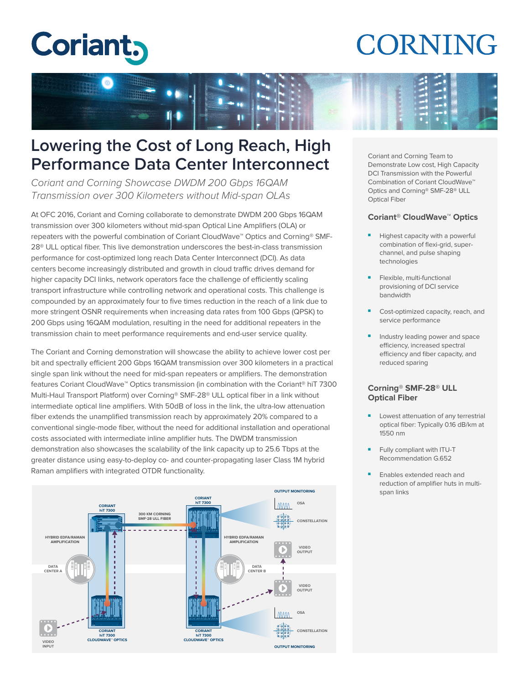# **Coriant,**

## **CORNING**



### **Lowering the Cost of Long Reach, High Performance Data Center Interconnect**

Coriant and Corning Showcase DWDM 200 Gbps 16QAM Transmission over 300 Kilometers without Mid-span OLAs

At OFC 2016, Coriant and Corning collaborate to demonstrate DWDM 200 Gbps 16QAM transmission over 300 kilometers without mid-span Optical Line Amplifiers (OLA) or repeaters with the powerful combination of Coriant CloudWave™ Optics and Corning® SMF-28® ULL optical fiber. This live demonstration underscores the best-in-class transmission performance for cost-optimized long reach Data Center Interconnect (DCI). As data centers become increasingly distributed and growth in cloud traffic drives demand for higher capacity DCI links, network operators face the challenge of efficiently scaling transport infrastructure while controlling network and operational costs. This challenge is compounded by an approximately four to five times reduction in the reach of a link due to more stringent OSNR requirements when increasing data rates from 100 Gbps (QPSK) to 200 Gbps using 16QAM modulation, resulting in the need for additional repeaters in the transmission chain to meet performance requirements and end-user service quality.

The Coriant and Corning demonstration will showcase the ability to achieve lower cost per bit and spectrally efficient 200 Gbps 16QAM transmission over 300 kilometers in a practical single span link without the need for mid-span repeaters or amplifiers. The demonstration features Coriant CloudWave™ Optics transmission (in combination with the Coriant® hiT 7300 Multi-Haul Transport Platform) over Corning® SMF-28® ULL optical fiber in a link without intermediate optical line amplifiers. With 50dB of loss in the link, the ultra-low attenuation fiber extends the unamplified transmission reach by approximately 20% compared to a conventional single-mode fiber, without the need for additional installation and operational costs associated with intermediate inline amplifier huts. The DWDM transmission demonstration also showcases the scalability of the link capacity up to 25.6 Tbps at the greater distance using easy-to-deploy co- and counter-propagating laser Class 1M hybrid Raman amplifiers with integrated OTDR functionality.



Coriant and Corning Team to Demonstrate Low cost, High Capacity DCI Transmission with the Powerful Combination of Coriant CloudWave<sup>™</sup> Optics and Corning® SMF-28® ULL Optical Fiber

#### **Coriant® CloudWave™ Optics**

- Highest capacity with a powerful combination of flexi-grid, superchannel, and pulse shaping technologies
- Flexible, multi-functional provisioning of DCI service bandwidth
- Cost-optimized capacity, reach, and service performance
- Industry leading power and space efficiency, increased spectral efficiency and fiber capacity, and reduced sparing

#### **Corning® SMF-28® ULL Optical Fiber**

- Lowest attenuation of any terrestrial optical fiber: Typically 0.16 dB/km at 1550 nm
- Fully compliant with ITU-T Recommendation G.652
- Enables extended reach and reduction of amplifier huts in multispan links